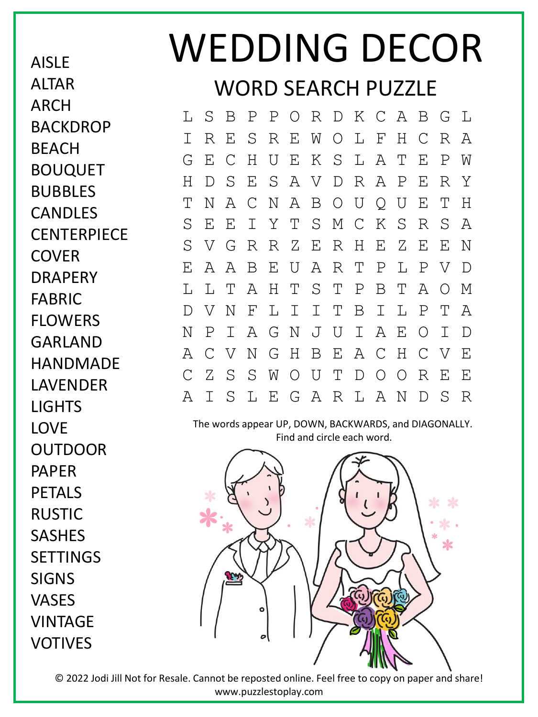AISLE **ALTAR** ARCH **BACKDROP BFACH** BOUQUET BUBBLES CANDLES **CENTERPIECE COVER DRAPFRY** FABRIC FLOWERS GARLAND HANDMADE LAVENDER LIGHTS LOVE OUTDOOR PAPER PETALS RUSTIC SASHES **SETTINGS** SIGNS VASES VINTAGE VOTIVES

## WEDDING DECOR WORD SEARCH PUZZLE

L S B P P O R D K C A B G L I R E S R E W O L F H C R A G E C H U E K S L A T E P W H D S E S A V D R A P E R Y T N A C N A B O U Q U E T H S E E I Y T S M C K S R S A S V G R R Z E R H E Z E E N E A A B E U A R T P L P V D L L T A H T S T P B T A O M D V N F L I I T B I L P T A N P I A G N J U I A E O I D A C V N G H B E A C H C V E C Z S S W O U T D O O R E E A I S L E G A R L A N D S R

The words appear UP, DOWN, BACKWARDS, and DIAGONALLY. Find and circle each word.



© 2022 Jodi Jill Not for Resale. Cannot be reposted online. Feel free to copy on paper and share! www.puzzlestoplay.com